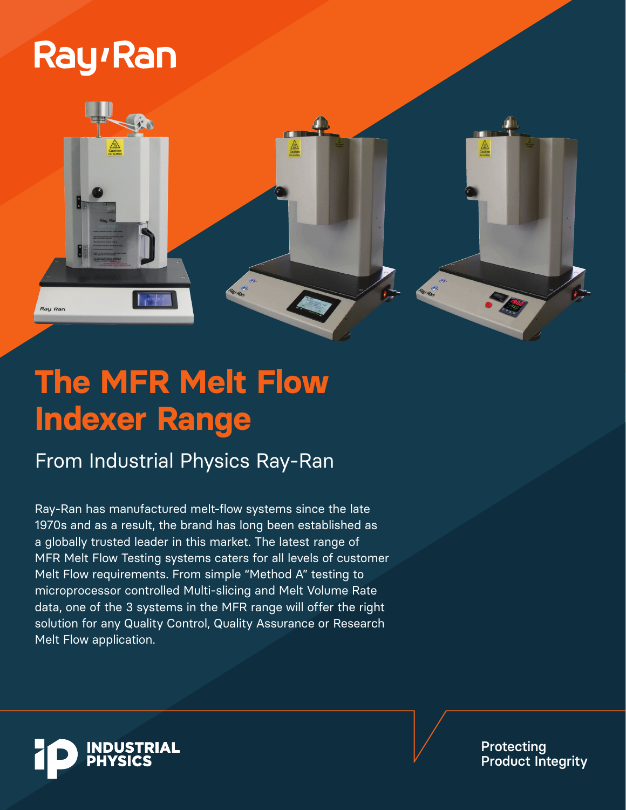# **Ray**<sup>Ran</sup>



## **The MFR Melt Flow Indexer Range**

### From Industrial Physics Ray-Ran

Ray-Ran has manufactured melt-flow systems since the late 1970s and as a result, the brand has long been established as a globally trusted leader in this market. The latest range of MFR Melt Flow Testing systems caters for all levels of customer Melt Flow requirements. From simple "Method A" testing to microprocessor controlled Multi-slicing and Melt Volume Rate data, one of the 3 systems in the MFR range will offer the right solution for any Quality Control, Quality Assurance or Research Melt Flow application.



Protecting Product Integrity